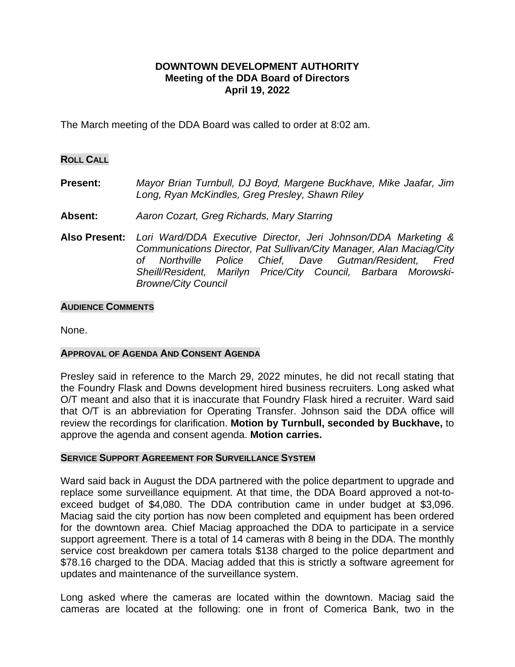# **DOWNTOWN DEVELOPMENT AUTHORITY Meeting of the DDA Board of Directors April 19, 2022**

The March meeting of the DDA Board was called to order at 8:02 am.

## **ROLL CALL**

- **Present:** *Mayor Brian Turnbull, DJ Boyd, Margene Buckhave, Mike Jaafar, Jim Long, Ryan McKindles, Greg Presley, Shawn Riley*
- **Absent:** *Aaron Cozart, Greg Richards, Mary Starring*
- **Also Present:** *Lori Ward/DDA Executive Director, Jeri Johnson/DDA Marketing & Communications Director, Pat Sullivan/City Manager, Alan Maciag/City of Northville Police Chief, Dave Gutman/Resident, Fred Sheill/Resident, Marilyn Price/City Council, Barbara Morowski-Browne/City Council*

### **AUDIENCE COMMENTS**

None.

## **APPROVAL OF AGENDA AND CONSENT AGENDA**

Presley said in reference to the March 29, 2022 minutes, he did not recall stating that the Foundry Flask and Downs development hired business recruiters. Long asked what O/T meant and also that it is inaccurate that Foundry Flask hired a recruiter. Ward said that O/T is an abbreviation for Operating Transfer. Johnson said the DDA office will review the recordings for clarification. **Motion by Turnbull, seconded by Buckhave,** to approve the agenda and consent agenda. **Motion carries.**

### **SERVICE SUPPORT AGREEMENT FOR SURVEILLANCE SYSTEM**

Ward said back in August the DDA partnered with the police department to upgrade and replace some surveillance equipment. At that time, the DDA Board approved a not-toexceed budget of \$4,080. The DDA contribution came in under budget at \$3,096. Maciag said the city portion has now been completed and equipment has been ordered for the downtown area. Chief Maciag approached the DDA to participate in a service support agreement. There is a total of 14 cameras with 8 being in the DDA. The monthly service cost breakdown per camera totals \$138 charged to the police department and \$78.16 charged to the DDA. Maciag added that this is strictly a software agreement for updates and maintenance of the surveillance system.

Long asked where the cameras are located within the downtown. Maciag said the cameras are located at the following: one in front of Comerica Bank, two in the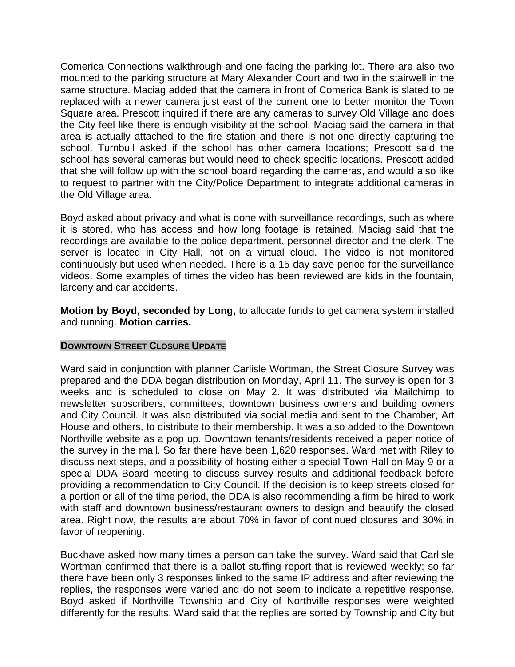Comerica Connections walkthrough and one facing the parking lot. There are also two mounted to the parking structure at Mary Alexander Court and two in the stairwell in the same structure. Maciag added that the camera in front of Comerica Bank is slated to be replaced with a newer camera just east of the current one to better monitor the Town Square area. Prescott inquired if there are any cameras to survey Old Village and does the City feel like there is enough visibility at the school. Maciag said the camera in that area is actually attached to the fire station and there is not one directly capturing the school. Turnbull asked if the school has other camera locations; Prescott said the school has several cameras but would need to check specific locations. Prescott added that she will follow up with the school board regarding the cameras, and would also like to request to partner with the City/Police Department to integrate additional cameras in the Old Village area.

Boyd asked about privacy and what is done with surveillance recordings, such as where it is stored, who has access and how long footage is retained. Maciag said that the recordings are available to the police department, personnel director and the clerk. The server is located in City Hall, not on a virtual cloud. The video is not monitored continuously but used when needed. There is a 15-day save period for the surveillance videos. Some examples of times the video has been reviewed are kids in the fountain, larceny and car accidents.

**Motion by Boyd, seconded by Long,** to allocate funds to get camera system installed and running. **Motion carries.** 

## **DOWNTOWN STREET CLOSURE UPDATE**

Ward said in conjunction with planner Carlisle Wortman, the Street Closure Survey was prepared and the DDA began distribution on Monday, April 11. The survey is open for 3 weeks and is scheduled to close on May 2. It was distributed via Mailchimp to newsletter subscribers, committees, downtown business owners and building owners and City Council. It was also distributed via social media and sent to the Chamber, Art House and others, to distribute to their membership. It was also added to the Downtown Northville website as a pop up. Downtown tenants/residents received a paper notice of the survey in the mail. So far there have been 1,620 responses. Ward met with Riley to discuss next steps, and a possibility of hosting either a special Town Hall on May 9 or a special DDA Board meeting to discuss survey results and additional feedback before providing a recommendation to City Council. If the decision is to keep streets closed for a portion or all of the time period, the DDA is also recommending a firm be hired to work with staff and downtown business/restaurant owners to design and beautify the closed area. Right now, the results are about 70% in favor of continued closures and 30% in favor of reopening.

Buckhave asked how many times a person can take the survey. Ward said that Carlisle Wortman confirmed that there is a ballot stuffing report that is reviewed weekly; so far there have been only 3 responses linked to the same IP address and after reviewing the replies, the responses were varied and do not seem to indicate a repetitive response. Boyd asked if Northville Township and City of Northville responses were weighted differently for the results. Ward said that the replies are sorted by Township and City but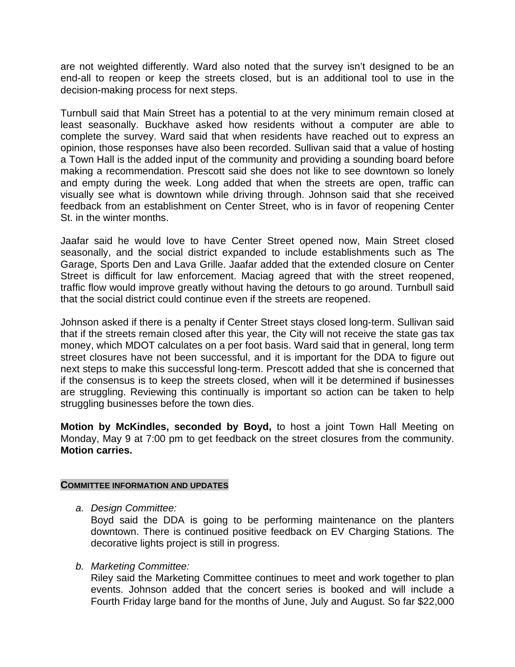are not weighted differently. Ward also noted that the survey isn't designed to be an end-all to reopen or keep the streets closed, but is an additional tool to use in the decision-making process for next steps.

Turnbull said that Main Street has a potential to at the very minimum remain closed at least seasonally. Buckhave asked how residents without a computer are able to complete the survey. Ward said that when residents have reached out to express an opinion, those responses have also been recorded. Sullivan said that a value of hosting a Town Hall is the added input of the community and providing a sounding board before making a recommendation. Prescott said she does not like to see downtown so lonely and empty during the week. Long added that when the streets are open, traffic can visually see what is downtown while driving through. Johnson said that she received feedback from an establishment on Center Street, who is in favor of reopening Center St. in the winter months.

Jaafar said he would love to have Center Street opened now, Main Street closed seasonally, and the social district expanded to include establishments such as The Garage, Sports Den and Lava Grille. Jaafar added that the extended closure on Center Street is difficult for law enforcement. Maciag agreed that with the street reopened, traffic flow would improve greatly without having the detours to go around. Turnbull said that the social district could continue even if the streets are reopened.

Johnson asked if there is a penalty if Center Street stays closed long-term. Sullivan said that if the streets remain closed after this year, the City will not receive the state gas tax money, which MDOT calculates on a per foot basis. Ward said that in general, long term street closures have not been successful, and it is important for the DDA to figure out next steps to make this successful long-term. Prescott added that she is concerned that if the consensus is to keep the streets closed, when will it be determined if businesses are struggling. Reviewing this continually is important so action can be taken to help struggling businesses before the town dies.

**Motion by McKindles, seconded by Boyd,** to host a joint Town Hall Meeting on Monday, May 9 at 7:00 pm to get feedback on the street closures from the community. **Motion carries.**

## **COMMITTEE INFORMATION AND UPDATES**

*a. Design Committee:*

Boyd said the DDA is going to be performing maintenance on the planters downtown. There is continued positive feedback on EV Charging Stations. The decorative lights project is still in progress.

*b. Marketing Committee:*

Riley said the Marketing Committee continues to meet and work together to plan events. Johnson added that the concert series is booked and will include a Fourth Friday large band for the months of June, July and August. So far \$22,000